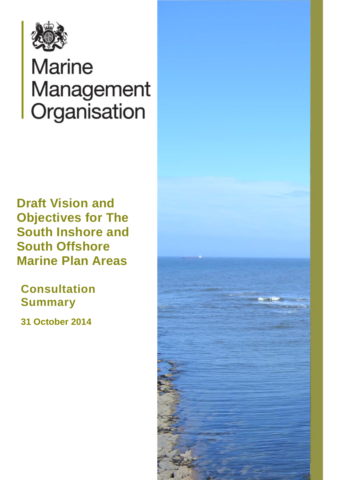

# **Marine** Management Organisation

**Draft Vision and Objectives for The South Inshore and South Offshore Marine Plan Areas**

**Consultation Summary**

**31 October 2014**

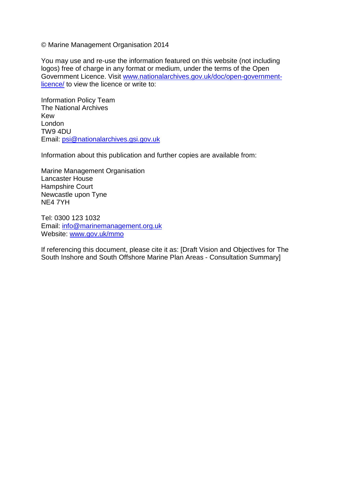© Marine Management Organisation 2014

You may use and re-use the information featured on this website (not including logos) free of charge in any format or medium, under the terms of the Open Government Licence. Visit [www.nationalarchives.gov.uk/doc/open-government](http://www.nationalarchives.gov.uk/doc/open-government-licence/)[licence/](http://www.nationalarchives.gov.uk/doc/open-government-licence/) to view the licence or write to:

Information Policy Team The National Archives Kew London TW9 4DU Email: [psi@nationalarchives.gsi.gov.uk](mailto:psi@nationalarchives.gsi.gov.uk)

Information about this publication and further copies are available from:

Marine Management Organisation Lancaster House Hampshire Court Newcastle upon Tyne NE4 7YH

Tel: 0300 123 1032 Email: [info@marinemanagement.org.uk](mailto:info@marinemanagement.org.uk) Website: [www.gov.uk/mmo](http://www.gov.uk/mmo)

If referencing this document, please cite it as: [Draft Vision and Objectives for The South Inshore and South Offshore Marine Plan Areas - Consultation Summary]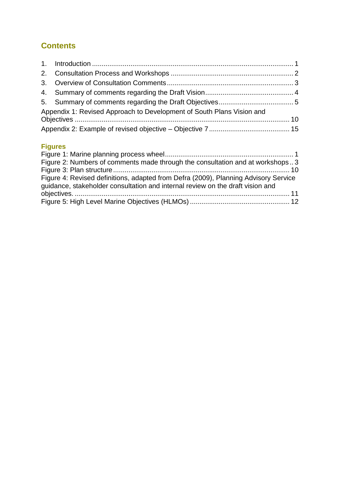# **Contents**

| Appendix 1: Revised Approach to Development of South Plans Vision and |  |
|-----------------------------------------------------------------------|--|
|                                                                       |  |

# **Figures**

| Figure 2: Numbers of comments made through the consultation and at workshops3                                                                                         |  |
|-----------------------------------------------------------------------------------------------------------------------------------------------------------------------|--|
|                                                                                                                                                                       |  |
| Figure 4: Revised definitions, adapted from Defra (2009), Planning Advisory Service<br>guidance, stakeholder consultation and internal review on the draft vision and |  |
|                                                                                                                                                                       |  |
|                                                                                                                                                                       |  |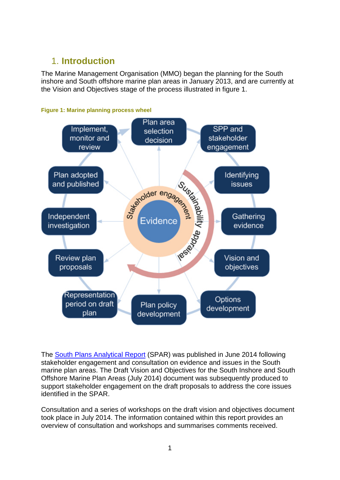# <span id="page-3-0"></span>1. **Introduction**

The Marine Management Organisation (MMO) began the planning for the South inshore and South offshore marine plan areas in January 2013, and are currently at the Vision and Objectives stage of the process illustrated in figure 1.

<span id="page-3-1"></span>



The [South Plans Analytical Report](https://www.gov.uk/government/uploads/system/uploads/attachment_data/file/326907/south_spar.pdf) (SPAR) was published in June 2014 following stakeholder engagement and consultation on evidence and issues in the South marine plan areas. The Draft Vision and Objectives for the South Inshore and South Offshore Marine Plan Areas (July 2014) document was subsequently produced to support stakeholder engagement on the draft proposals to address the core issues identified in the SPAR.

Consultation and a series of workshops on the draft vision and objectives document took place in July 2014. The information contained within this report provides an overview of consultation and workshops and summarises comments received.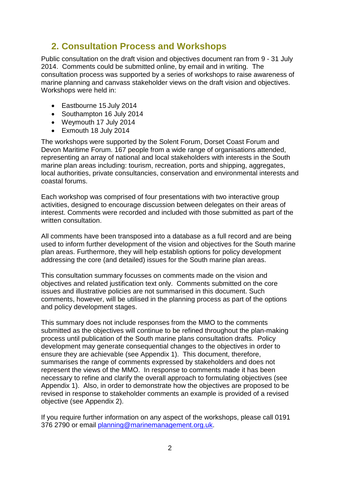# <span id="page-4-0"></span>**2. Consultation Process and Workshops**

Public consultation on the draft vision and objectives document ran from 9 - 31 July 2014. Comments could be submitted online, by email and in writing. The consultation process was supported by a series of workshops to raise awareness of marine planning and canvass stakeholder views on the draft vision and objectives. Workshops were held in:

- Eastbourne 15 July 2014
- Southampton 16 July 2014
- Weymouth 17 July 2014
- Exmouth 18 July 2014

The workshops were supported by the Solent Forum, Dorset Coast Forum and Devon Maritime Forum. 167 people from a wide range of organisations attended, representing an array of national and local stakeholders with interests in the South marine plan areas including: tourism, recreation, ports and shipping, aggregates, local authorities, private consultancies, conservation and environmental interests and coastal forums.

Each workshop was comprised of four presentations with two interactive group activities, designed to encourage discussion between delegates on their areas of interest. Comments were recorded and included with those submitted as part of the written consultation.

All comments have been transposed into a database as a full record and are being used to inform further development of the vision and objectives for the South marine plan areas. Furthermore, they will help establish options for policy development addressing the core (and detailed) issues for the South marine plan areas.

This consultation summary focusses on comments made on the vision and objectives and related justification text only. Comments submitted on the core issues and illustrative policies are not summarised in this document. Such comments, however, will be utilised in the planning process as part of the options and policy development stages.

This summary does not include responses from the MMO to the comments submitted as the objectives will continue to be refined throughout the plan-making process until publication of the South marine plans consultation drafts. Policy development may generate consequential changes to the objectives in order to ensure they are achievable (see Appendix 1). This document, therefore, summarises the range of comments expressed by stakeholders and does not represent the views of the MMO. In response to comments made it has been necessary to refine and clarify the overall approach to formulating objectives (see Appendix 1). Also, in order to demonstrate how the objectives are proposed to be revised in response to stakeholder comments an example is provided of a revised objective (see Appendix 2).

If you require further information on any aspect of the workshops, please call 0191 376 2790 or email [planning@marinemanagement.org.uk.](mailto:planning@marinemanagement.org.uk)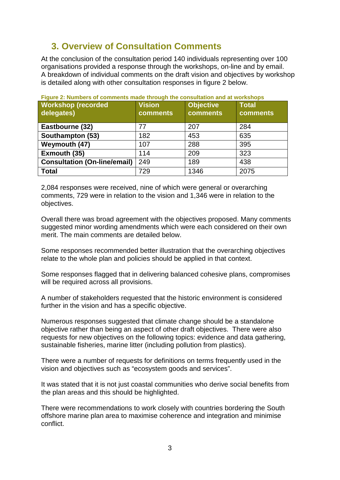# <span id="page-5-0"></span>**3. Overview of Consultation Comments**

At the conclusion of the consultation period 140 individuals representing over 100 organisations provided a response through the workshops, on-line and by email. A breakdown of individual comments on the draft vision and objectives by workshop is detailed along with other consultation responses in figure 2 below.

| <b>Workshop (recorded</b><br>delegates) | <b>Vision</b><br>comments | <b>Objective</b><br><b>comments</b> | <b>Total</b><br>comments |
|-----------------------------------------|---------------------------|-------------------------------------|--------------------------|
| Eastbourne (32)                         | 77                        | 207                                 | 284                      |
| Southampton (53)                        | 182                       | 453                                 | 635                      |
| Weymouth (47)                           | 107                       | 288                                 | 395                      |
| Exmouth (35)                            | 114                       | 209                                 | 323                      |
| <b>Consultation (On-line/email)</b>     | 249                       | 189                                 | 438                      |
| <b>Total</b>                            | 729                       | 1346                                | 2075                     |

<span id="page-5-1"></span>**Figure 2: Numbers of comments made through the consultation and at workshops**

2,084 responses were received, nine of which were general or overarching comments, 729 were in relation to the vision and 1,346 were in relation to the objectives.

Overall there was broad agreement with the objectives proposed. Many comments suggested minor wording amendments which were each considered on their own merit. The main comments are detailed below.

Some responses recommended better illustration that the overarching objectives relate to the whole plan and policies should be applied in that context.

Some responses flagged that in delivering balanced cohesive plans, compromises will be required across all provisions.

A number of stakeholders requested that the historic environment is considered further in the vision and has a specific objective.

Numerous responses suggested that climate change should be a standalone objective rather than being an aspect of other draft objectives. There were also requests for new objectives on the following topics: evidence and data gathering, sustainable fisheries, marine litter (including pollution from plastics).

There were a number of requests for definitions on terms frequently used in the vision and objectives such as "ecosystem goods and services".

It was stated that it is not just coastal communities who derive social benefits from the plan areas and this should be highlighted.

There were recommendations to work closely with countries bordering the South offshore marine plan area to maximise coherence and integration and minimise conflict.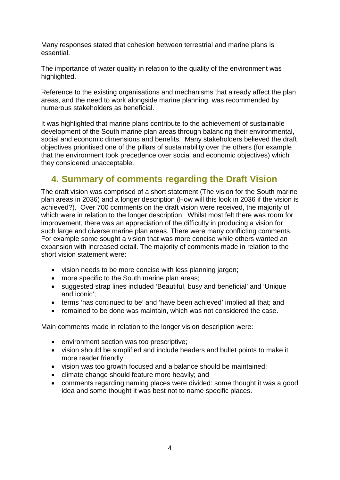Many responses stated that cohesion between terrestrial and marine plans is essential.

The importance of water quality in relation to the quality of the environment was highlighted.

Reference to the existing organisations and mechanisms that already affect the plan areas, and the need to work alongside marine planning, was recommended by numerous stakeholders as beneficial.

It was highlighted that marine plans contribute to the achievement of sustainable development of the South marine plan areas through balancing their environmental, social and economic dimensions and benefits. Many stakeholders believed the draft objectives prioritised one of the pillars of sustainability over the others (for example that the environment took precedence over social and economic objectives) which they considered unacceptable.

# <span id="page-6-0"></span>**4. Summary of comments regarding the Draft Vision**

The draft vision was comprised of a short statement (The vision for the South marine plan areas in 2036) and a longer description (How will this look in 2036 if the vision is achieved?). Over 700 comments on the draft vision were received, the majority of which were in relation to the longer description. Whilst most felt there was room for improvement, there was an appreciation of the difficulty in producing a vision for such large and diverse marine plan areas. There were many conflicting comments. For example some sought a vision that was more concise while others wanted an expansion with increased detail. The majority of comments made in relation to the short vision statement were:

- vision needs to be more concise with less planning jargon;
- more specific to the South marine plan areas;
- suggested strap lines included 'Beautiful, busy and beneficial' and 'Unique and iconic';
- terms 'has continued to be' and 'have been achieved' implied all that; and
- remained to be done was maintain, which was not considered the case.

Main comments made in relation to the longer vision description were:

- environment section was too prescriptive:
- vision should be simplified and include headers and bullet points to make it more reader friendly;
- vision was too growth focused and a balance should be maintained;
- climate change should feature more heavily; and
- comments regarding naming places were divided: some thought it was a good idea and some thought it was best not to name specific places.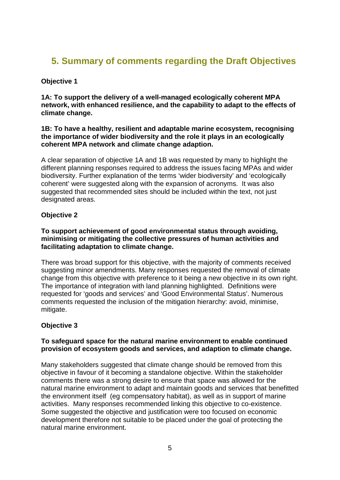# <span id="page-7-0"></span>**5. Summary of comments regarding the Draft Objectives**

## **Objective 1**

**1A: To support the delivery of a well-managed ecologically coherent MPA network, with enhanced resilience, and the capability to adapt to the effects of climate change.**

#### **1B: To have a healthy, resilient and adaptable marine ecosystem, recognising the importance of wider biodiversity and the role it plays in an ecologically coherent MPA network and climate change adaption.**

A clear separation of objective 1A and 1B was requested by many to highlight the different planning responses required to address the issues facing MPAs and wider biodiversity. Further explanation of the terms 'wider biodiversity' and 'ecologically coherent' were suggested along with the expansion of acronyms. It was also suggested that recommended sites should be included within the text, not just designated areas.

#### **Objective 2**

#### **To support achievement of good environmental status through avoiding, minimising or mitigating the collective pressures of human activities and facilitating adaptation to climate change.**

There was broad support for this objective, with the majority of comments received suggesting minor amendments. Many responses requested the removal of climate change from this objective with preference to it being a new objective in its own right. The importance of integration with land planning highlighted. Definitions were requested for 'goods and services' and 'Good Environmental Status'. Numerous comments requested the inclusion of the mitigation hierarchy: avoid, minimise, mitigate.

## **Objective 3**

#### **To safeguard space for the natural marine environment to enable continued provision of ecosystem goods and services, and adaption to climate change.**

Many stakeholders suggested that climate change should be removed from this objective in favour of it becoming a standalone objective. Within the stakeholder comments there was a strong desire to ensure that space was allowed for the natural marine environment to adapt and maintain goods and services that benefitted the environment itself (eg compensatory habitat), as well as in support of marine activities. Many responses recommended linking this objective to co-existence. Some suggested the objective and justification were too focused on economic development therefore not suitable to be placed under the goal of protecting the natural marine environment.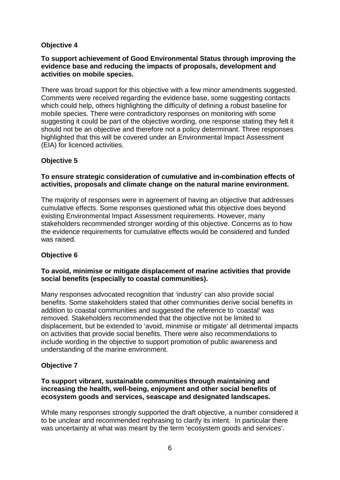## **Objective 4**

#### **To support achievement of Good Environmental Status through improving the evidence base and reducing the impacts of proposals, development and activities on mobile species.**

There was broad support for this objective with a few minor amendments suggested. Comments were received regarding the evidence base, some suggesting contacts which could help, others highlighting the difficulty of defining a robust baseline for mobile species. There were contradictory responses on monitoring with some suggesting it could be part of the objective wording, one response stating they felt it should not be an objective and therefore not a policy determinant. Three responses highlighted that this will be covered under an Environmental Impact Assessment (EIA) for licenced activities.

# **Objective 5**

#### **To ensure strategic consideration of cumulative and in-combination effects of activities, proposals and climate change on the natural marine environment.**

The majority of responses were in agreement of having an objective that addresses cumulative effects. Some responses questioned what this objective does beyond existing Environmental Impact Assessment requirements. However, many stakeholders recommended stronger wording of this objective. Concerns as to how the evidence requirements for cumulative effects would be considered and funded was raised.

## **Objective 6**

#### **To avoid, minimise or mitigate displacement of marine activities that provide social benefits (especially to coastal communities).**

Many responses advocated recognition that 'industry' can also provide social benefits. Some stakeholders stated that other communities derive social benefits in addition to coastal communities and suggested the reference to 'coastal' was removed. Stakeholders recommended that the objective not be limited to displacement, but be extended to 'avoid, minimise or mitigate' all detrimental impacts on activities that provide social benefits. There were also recommendations to include wording in the objective to support promotion of public awareness and understanding of the marine environment.

## **Objective 7**

#### **To support vibrant, sustainable communities through maintaining and increasing the health, well-being, enjoyment and other social benefits of ecosystem goods and services, seascape and designated landscapes.**

While many responses strongly supported the draft objective, a number considered it to be unclear and recommended rephrasing to clarify its intent. In particular there was uncertainty at what was meant by the term 'ecosystem goods and services'.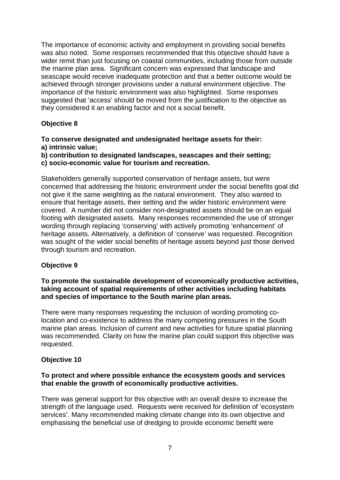The importance of economic activity and employment in providing social benefits was also noted. Some responses recommended that this objective should have a wider remit than just focusing on coastal communities, including those from outside the marine plan area. Significant concern was expressed that landscape and seascape would receive inadequate protection and that a better outcome would be achieved through stronger provisions under a natural environment objective. The importance of the historic environment was also highlighted. Some responses suggested that 'access' should be moved from the justification to the objective as they considered it an enabling factor and not a social benefit.

# **Objective 8**

**To conserve designated and undesignated heritage assets for their: a) intrinsic value;**

**b) contribution to designated landscapes, seascapes and their setting; c) socio-economic value for tourism and recreation.**

Stakeholders generally supported conservation of heritage assets, but were concerned that addressing the historic environment under the social benefits goal did not give it the same weighting as the natural environment. They also wanted to ensure that heritage assets, their setting and the wider historic environment were covered. A number did not consider non-designated assets should be on an equal footing with designated assets. Many responses recommended the use of stronger wording through replacing 'conserving' with actively promoting 'enhancement' of heritage assets. Alternatively, a definition of 'conserve' was requested. Recognition was sought of the wider social benefits of heritage assets beyond just those derived through tourism and recreation.

#### **Objective 9**

#### **To promote the sustainable development of economically productive activities, taking account of spatial requirements of other activities including habitats and species of importance to the South marine plan areas.**

There were many responses requesting the inclusion of wording promoting colocation and co-existence to address the many competing pressures in the South marine plan areas. Inclusion of current and new activities for future spatial planning was recommended. Clarity on how the marine plan could support this objective was requested.

#### **Objective 10**

#### **To protect and where possible enhance the ecosystem goods and services that enable the growth of economically productive activities.**

There was general support for this objective with an overall desire to increase the strength of the language used. Requests were received for definition of 'ecosystem services'. Many recommended making climate change into its own objective and emphasising the beneficial use of dredging to provide economic benefit were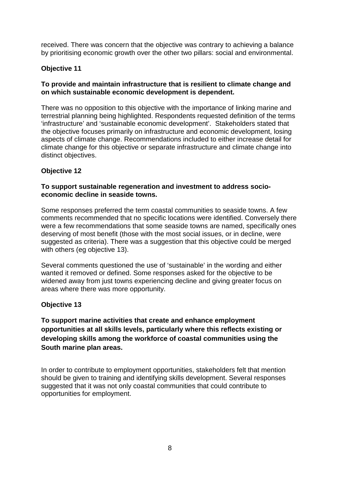received. There was concern that the objective was contrary to achieving a balance by prioritising economic growth over the other two pillars: social and environmental.

# **Objective 11**

#### **To provide and maintain infrastructure that is resilient to climate change and on which sustainable economic development is dependent.**

There was no opposition to this objective with the importance of linking marine and terrestrial planning being highlighted. Respondents requested definition of the terms 'infrastructure' and 'sustainable economic development'. Stakeholders stated that the objective focuses primarily on infrastructure and economic development, losing aspects of climate change. Recommendations included to either increase detail for climate change for this objective or separate infrastructure and climate change into distinct objectives.

## **Objective 12**

#### **To support sustainable regeneration and investment to address socioeconomic decline in seaside towns.**

Some responses preferred the term coastal communities to seaside towns. A few comments recommended that no specific locations were identified. Conversely there were a few recommendations that some seaside towns are named, specifically ones deserving of most benefit (those with the most social issues, or in decline, were suggested as criteria). There was a suggestion that this objective could be merged with others (eg objective 13).

Several comments questioned the use of 'sustainable' in the wording and either wanted it removed or defined. Some responses asked for the objective to be widened away from just towns experiencing decline and giving greater focus on areas where there was more opportunity.

#### **Objective 13**

**To support marine activities that create and enhance employment opportunities at all skills levels, particularly where this reflects existing or developing skills among the workforce of coastal communities using the South marine plan areas.** 

In order to contribute to employment opportunities, stakeholders felt that mention should be given to training and identifying skills development. Several responses suggested that it was not only coastal communities that could contribute to opportunities for employment.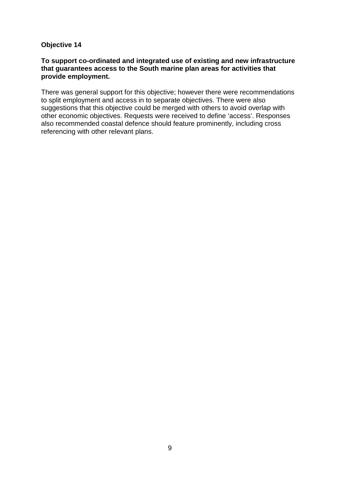#### **Objective 14**

#### **To support co-ordinated and integrated use of existing and new infrastructure that guarantees access to the South marine plan areas for activities that provide employment.**

There was general support for this objective; however there were recommendations to split employment and access in to separate objectives. There were also suggestions that this objective could be merged with others to avoid overlap with other economic objectives. Requests were received to define 'access'. Responses also recommended coastal defence should feature prominently, including cross referencing with other relevant plans.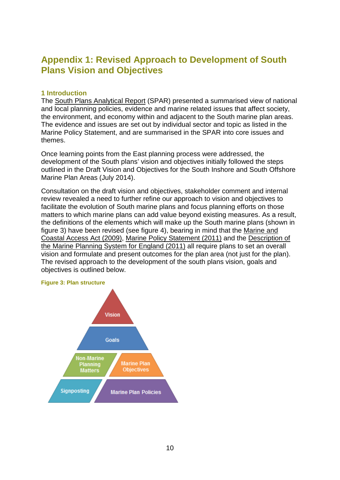# <span id="page-12-0"></span>**Appendix 1: Revised Approach to Development of South Plans Vision and Objectives**

#### **1 Introduction**

The [South Plans Analytical Report](http://www.marinemanagement.org.uk/marineplanning/areas/south_spar.htm) (SPAR) presented a summarised view of national and local planning policies, evidence and marine related issues that affect society, the environment, and economy within and adjacent to the South marine plan areas. The evidence and issues are set out by individual sector and topic as listed in the Marine Policy Statement, and are summarised in the SPAR into core issues and themes.

Once learning points from the East planning process were addressed, the development of the South plans' vision and objectives initially followed the steps outlined in the Draft Vision and Objectives for the South Inshore and South Offshore Marine Plan Areas (July 2014).

Consultation on the draft vision and objectives, stakeholder comment and internal review revealed a need to further refine our approach to vision and objectives to facilitate the evolution of South marine plans and focus planning efforts on those matters to which marine plans can add value beyond existing measures. As a result, the definitions of the elements which will make up the South marine plans (shown in figure 3) have been revised (see figure 4), bearing in mind that the [Marine and](http://www.legislation.gov.uk/ukpga/2009/23/contents)  [Coastal Access Act \(2009\),](http://www.legislation.gov.uk/ukpga/2009/23/contents) [Marine Policy Statement \(2011\)](https://www.gov.uk/government/uploads/system/uploads/attachment_data/file/69322/pb3654-marine-policy-statement-110316.pdf) and the [Description of](http://webarchive.nationalarchives.gov.uk/20121204124616/http:/archive.defra.gov.uk/corporate/consult/marine-planning/110318-marine-planning-descript.pdf)  [the Marine Planning System for England \(2011\)](http://webarchive.nationalarchives.gov.uk/20121204124616/http:/archive.defra.gov.uk/corporate/consult/marine-planning/110318-marine-planning-descript.pdf) all require plans to set an overall vision and formulate and present outcomes for the plan area (not just for the plan). The revised approach to the development of the south plans vision, goals and objectives is outlined below.

#### <span id="page-12-1"></span>**Figure 3: Plan structure**

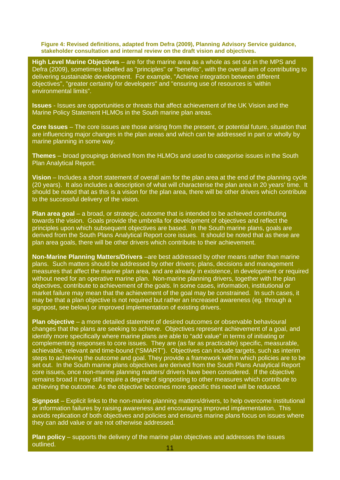<span id="page-13-0"></span>**Figure 4: Revised definitions, adapted from Defra (2009), Planning Advisory Service guidance, stakeholder consultation and internal review on the draft vision and objectives.**

**High Level Marine Objectives** – are for the marine area as a whole as set out in the MPS and Defra (2009), sometimes labelled as "principles" or "benefits", with the overall aim of contributing to delivering sustainable development. For example, "Achieve integration between different objectives", "greater certainty for developers" and "ensuring use of resources is 'within environmental limits".

**Issues** - Issues are opportunities or threats that affect achievement of the UK Vision and the Marine Policy Statement HLMOs in the South marine plan areas.

**Core Issues** – The core issues are those arising from the present, or potential future, situation that are influencing major changes in the plan areas and which can be addressed in part or wholly by marine planning in some way.

**Themes** – broad groupings derived from the HLMOs and used to categorise issues in the South Plan Analytical Report.

**Vision** – Includes a short statement of overall aim for the plan area at the end of the planning cycle (20 years). It also includes a description of what will characterise the plan area in 20 years' time. It should be noted that as this is a vision for the plan area, there will be other drivers which contribute to the successful delivery of the vision.

**Plan area goal** – a broad, or strategic, outcome that is intended to be achieved contributing towards the vision. Goals provide the umbrella for development of objectives and reflect the principles upon which subsequent objectives are based. In the South marine plans, goals are derived from the South Plans Analytical Report core issues. It should be noted that as these are plan area goals, there will be other drivers which contribute to their achievement.

**Non-Marine Planning Matters/Drivers** –are best addressed by other means rather than marine plans. Such matters should be addressed by other drivers; plans, decisions and management measures that affect the marine plan area, and are already in existence, in development or required without need for an operative marine plan. Non-marine planning drivers, together with the plan objectives, contribute to achievement of the goals. In some cases, information, institutional or market failure may mean that the achievement of the goal may be constrained. In such cases, it may be that a plan objective is not required but rather an increased awareness (eg. through a signpost, see below) or improved implementation of existing drivers.

**Plan objective** – a more detailed statement of desired outcomes or observable behavioural changes that the plans are seeking to achieve. Objectives represent achievement of a goal, and identify more specifically where marine plans are able to "add value" in terms of initiating or complementing responses to core issues. They are (as far as practicable) specific, measurable, achievable, relevant and time-bound ("SMART"). Objectives can include targets, such as interim steps to achieving the outcome and goal. They provide a framework within which policies are to be set out. In the South marine plans objectives are derived from the South Plans Analytical Report core issues, once non-marine planning matters/ drivers have been considered. If the objective remains broad it may still require a degree of signposting to other measures which contribute to achieving the outcome. As the objective becomes more specific this need will be reduced.

**Signpost** – Explicit links to the non-marine planning matters/drivers, to help overcome institutional or information failures by raising awareness and encouraging improved implementation. This avoids replication of both objectives and policies and ensures marine plans focus on issues where they can add value or are not otherwise addressed.

**Plan policy** – supports the delivery of the marine plan objectives and addresses the issues outlined. <sup>11</sup>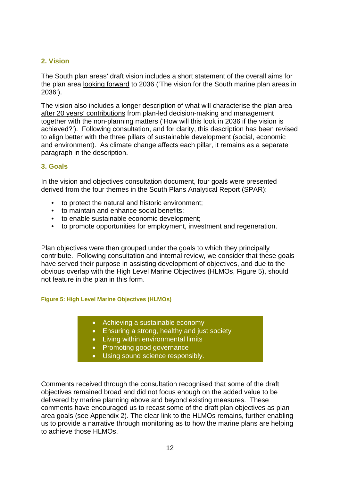## **2. Vision**

The South plan areas' draft vision includes a short statement of the overall aims for the plan area looking forward to 2036 ('The vision for the South marine plan areas in 2036').

The vision also includes a longer description of what will characterise the plan area after 20 years' contributions from plan-led decision-making and management together with the non-planning matters ('How will this look in 2036 if the vision is achieved?'). Following consultation, and for clarity, this description has been revised to align better with the three pillars of sustainable development (social, economic and environment). As climate change affects each pillar, it remains as a separate paragraph in the description.

#### **3. Goals**

In the vision and objectives consultation document, four goals were presented derived from the four themes in the South Plans Analytical Report (SPAR):

- to protect the natural and historic environment;
- to maintain and enhance social benefits;
- to enable sustainable economic development;
- to promote opportunities for employment, investment and regeneration.

Plan objectives were then grouped under the goals to which they principally contribute. Following consultation and internal review, we consider that these goals have served their purpose in assisting development of objectives, and due to the obvious overlap with the High Level Marine Objectives (HLMOs, Figure 5), should not feature in the plan in this form.

#### <span id="page-14-0"></span>**Figure 5: High Level Marine Objectives (HLMOs)**

- Achieving a sustainable economy
- Ensuring a strong, healthy and just society
- Living within environmental limits
- Promoting good governance
- Using sound science responsibly.

Comments received through the consultation recognised that some of the draft objectives remained broad and did not focus enough on the added value to be delivered by marine planning above and beyond existing measures. These comments have encouraged us to recast some of the draft plan objectives as plan area goals (see Appendix 2). The clear link to the HLMOs remains, further enabling us to provide a narrative through monitoring as to how the marine plans are helping to achieve those HLMOs.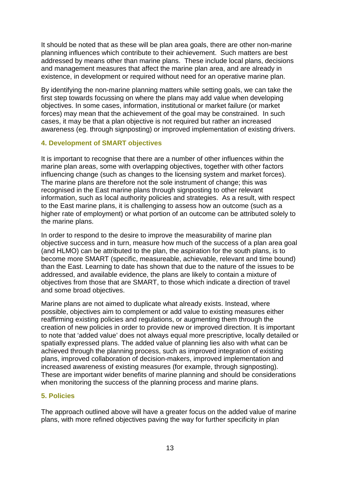It should be noted that as these will be plan area goals, there are other non-marine planning influences which contribute to their achievement. Such matters are best addressed by means other than marine plans. These include local plans, decisions and management measures that affect the marine plan area, and are already in existence, in development or required without need for an operative marine plan.

By identifying the non-marine planning matters while setting goals, we can take the first step towards focussing on where the plans may add value when developing objectives. In some cases, information, institutional or market failure (or market forces) may mean that the achievement of the goal may be constrained. In such cases, it may be that a plan objective is not required but rather an increased awareness (eg. through signposting) or improved implementation of existing drivers.

#### **4. Development of SMART objectives**

It is important to recognise that there are a number of other influences within the marine plan areas, some with overlapping objectives, together with other factors influencing change (such as changes to the licensing system and market forces). The marine plans are therefore not the sole instrument of change; this was recognised in the East marine plans through signposting to other relevant information, such as local authority policies and strategies. As a result, with respect to the East marine plans, it is challenging to assess how an outcome (such as a higher rate of employment) or what portion of an outcome can be attributed solely to the marine plans.

In order to respond to the desire to improve the measurability of marine plan objective success and in turn, measure how much of the success of a plan area goal (and HLMO) can be attributed to the plan, the aspiration for the south plans, is to become more SMART (specific, measureable, achievable, relevant and time bound) than the East. Learning to date has shown that due to the nature of the issues to be addressed, and available evidence, the plans are likely to contain a mixture of objectives from those that are SMART, to those which indicate a direction of travel and some broad objectives.

Marine plans are not aimed to duplicate what already exists. Instead, where possible, objectives aim to complement or add value to existing measures either reaffirming existing policies and regulations, or augmenting them through the creation of new policies in order to provide new or improved direction. It is important to note that 'added value' does not always equal more prescriptive, locally detailed or spatially expressed plans. The added value of planning lies also with what can be achieved through the planning process, such as improved integration of existing plans, improved collaboration of decision-makers, improved implementation and increased awareness of existing measures (for example, through signposting). These are important wider benefits of marine planning and should be considerations when monitoring the success of the planning process and marine plans.

#### **5. Policies**

The approach outlined above will have a greater focus on the added value of marine plans, with more refined objectives paving the way for further specificity in plan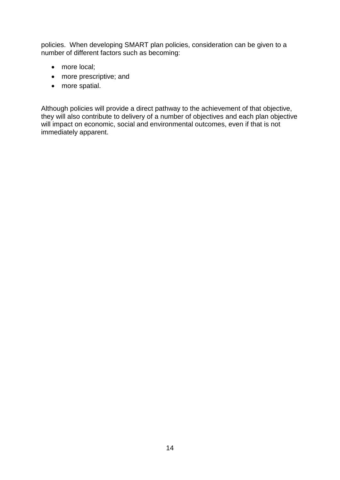policies. When developing SMART plan policies, consideration can be given to a number of different factors such as becoming:

- more local;
- more prescriptive; and
- more spatial.

Although policies will provide a direct pathway to the achievement of that objective, they will also contribute to delivery of a number of objectives and each plan objective will impact on economic, social and environmental outcomes, even if that is not immediately apparent.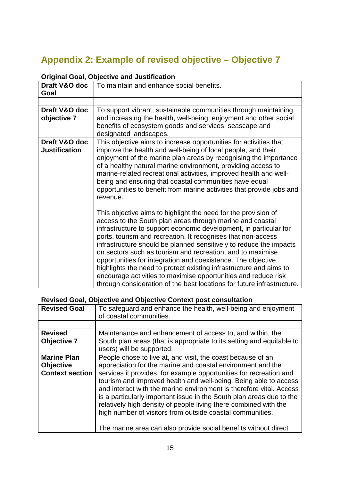# <span id="page-17-0"></span>**Appendix 2: Example of revised objective – Objective 7**

| Draft V&O doc<br>Goal                 | To maintain and enhance social benefits.                                                                                                                                                                                                                                                                                                                                                                                                                                                                                                                                                                                                                                               |
|---------------------------------------|----------------------------------------------------------------------------------------------------------------------------------------------------------------------------------------------------------------------------------------------------------------------------------------------------------------------------------------------------------------------------------------------------------------------------------------------------------------------------------------------------------------------------------------------------------------------------------------------------------------------------------------------------------------------------------------|
|                                       |                                                                                                                                                                                                                                                                                                                                                                                                                                                                                                                                                                                                                                                                                        |
| Draft V&O doc<br>objective 7          | To support vibrant, sustainable communities through maintaining<br>and increasing the health, well-being, enjoyment and other social<br>benefits of ecosystem goods and services, seascape and<br>designated landscapes.                                                                                                                                                                                                                                                                                                                                                                                                                                                               |
| Draft V&O doc<br><b>Justification</b> | This objective aims to increase opportunities for activities that<br>improve the health and well-being of local people, and their<br>enjoyment of the marine plan areas by recognising the importance<br>of a healthy natural marine environment, providing access to<br>marine-related recreational activities, improved health and well-<br>being and ensuring that coastal communities have equal<br>opportunities to benefit from marine activities that provide jobs and<br>revenue.                                                                                                                                                                                              |
|                                       | This objective aims to highlight the need for the provision of<br>access to the South plan areas through marine and coastal<br>infrastructure to support economic development, in particular for<br>ports, tourism and recreation. It recognises that non-access<br>infrastructure should be planned sensitively to reduce the impacts<br>on sectors such as tourism and recreation, and to maximise<br>opportunities for integration and coexistence. The objective<br>highlights the need to protect existing infrastructure and aims to<br>encourage activities to maximise opportunities and reduce risk<br>through consideration of the best locations for future infrastructure. |

# **Original Goal, Objective and Justification**

# **Revised Goal, Objective and Objective Context post consultation**

| <b>Revised Goal</b>    | To safeguard and enhance the health, well-being and enjoyment<br>of coastal communities. |
|------------------------|------------------------------------------------------------------------------------------|
|                        |                                                                                          |
| <b>Revised</b>         | Maintenance and enhancement of access to, and within, the                                |
| <b>Objective 7</b>     | South plan areas (that is appropriate to its setting and equitable to                    |
|                        | users) will be supported.                                                                |
| <b>Marine Plan</b>     | People chose to live at, and visit, the coast because of an                              |
| <b>Objective</b>       | appreciation for the marine and coastal environment and the                              |
| <b>Context section</b> | services it provides, for example opportunities for recreation and                       |
|                        | tourism and improved health and well-being. Being able to access                         |
|                        | and interact with the marine environment is therefore vital. Access                      |
|                        | is a particularly important issue in the South plan areas due to the                     |
|                        | relatively high density of people living there combined with the                         |
|                        | high number of visitors from outside coastal communities.                                |
|                        |                                                                                          |
|                        | The marine area can also provide social benefits without direct                          |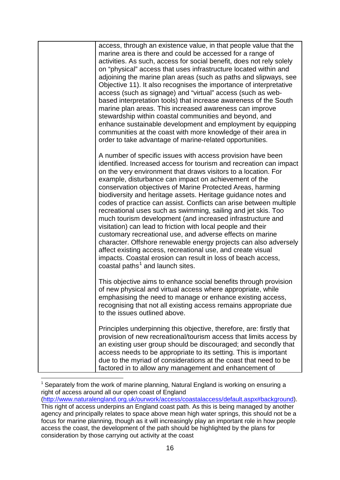| access, through an existence value, in that people value that the<br>marine area is there and could be accessed for a range of<br>activities. As such, access for social benefit, does not rely solely<br>on "physical" access that uses infrastructure located within and<br>adjoining the marine plan areas (such as paths and slipways, see<br>Objective 11). It also recognises the importance of interpretative<br>access (such as signage) and "virtual" access (such as web-<br>based interpretation tools) that increase awareness of the South<br>marine plan areas. This increased awareness can improve<br>stewardship within coastal communities and beyond, and<br>enhance sustainable development and employment by equipping<br>communities at the coast with more knowledge of their area in<br>order to take advantage of marine-related opportunities.                                                                                                         |
|----------------------------------------------------------------------------------------------------------------------------------------------------------------------------------------------------------------------------------------------------------------------------------------------------------------------------------------------------------------------------------------------------------------------------------------------------------------------------------------------------------------------------------------------------------------------------------------------------------------------------------------------------------------------------------------------------------------------------------------------------------------------------------------------------------------------------------------------------------------------------------------------------------------------------------------------------------------------------------|
| A number of specific issues with access provision have been<br>identified. Increased access for tourism and recreation can impact<br>on the very environment that draws visitors to a location. For<br>example, disturbance can impact on achievement of the<br>conservation objectives of Marine Protected Areas, harming<br>biodiversity and heritage assets. Heritage guidance notes and<br>codes of practice can assist. Conflicts can arise between multiple<br>recreational uses such as swimming, sailing and jet skis. Too<br>much tourism development (and increased infrastructure and<br>visitation) can lead to friction with local people and their<br>customary recreational use, and adverse effects on marine<br>character. Offshore renewable energy projects can also adversely<br>affect existing access, recreational use, and create visual<br>impacts. Coastal erosion can result in loss of beach access,<br>coastal paths <sup>1</sup> and launch sites. |
| This objective aims to enhance social benefits through provision<br>of new physical and virtual access where appropriate, while<br>emphasising the need to manage or enhance existing access,<br>recognising that not all existing access remains appropriate due<br>to the issues outlined above.                                                                                                                                                                                                                                                                                                                                                                                                                                                                                                                                                                                                                                                                               |
| Principles underpinning this objective, therefore, are: firstly that<br>provision of new recreational/tourism access that limits access by<br>an existing user group should be discouraged; and secondly that<br>access needs to be appropriate to its setting. This is important<br>due to the myriad of considerations at the coast that need to be<br>factored in to allow any management and enhancement of                                                                                                                                                                                                                                                                                                                                                                                                                                                                                                                                                                  |

<span id="page-18-0"></span> $1$  Separately from the work of marine planning, Natural England is working on ensuring a right of access around all our open coast of England [\(http://www.naturalengland.org.uk/ourwork/access/coastalaccess/default.aspx#background\)](http://www.naturalengland.org.uk/ourwork/access/coastalaccess/default.aspx%23background). -

This right of access underpins an England coast path. As this is being managed by another agency and principally relates to space above mean high water springs, this should not be a focus for marine planning, though as it will increasingly play an important role in how people access the coast, the development of the path should be highlighted by the plans for consideration by those carrying out activity at the coast